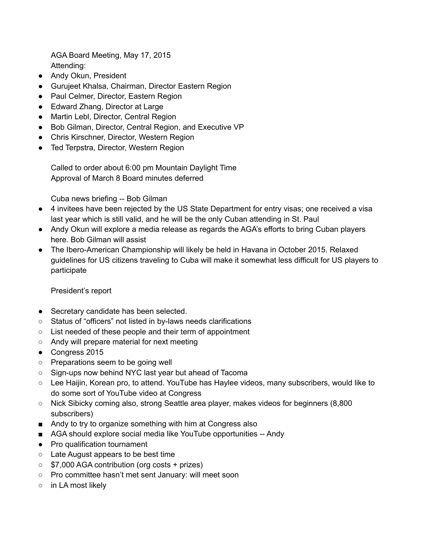AGA Board Meeting, May 17, 2015 Attending:

- Andy Okun, President
- Gurujeet Khalsa, Chairman, Director Eastern Region
- Paul Celmer, Director, Eastern Region
- Edward Zhang, Director at Large
- Martin Lebl, Director, Central Region
- Bob Gilman, Director, Central Region, and Executive VP
- Chris Kirschner, Director, Western Region
- Ted Terpstra, Director, Western Region

Called to order about 6:00 pm Mountain Daylight Time Approval of March 8 Board minutes deferred

Cuba news briefing -- Bob Gilman

- 4 invitees have been rejected by the US State Department for entry visas; one received a visa last year which is still valid, and he will be the only Cuban attending in St. Paul
- Andy Okun will explore a media release as regards the AGA's efforts to bring Cuban players here. Bob Gilman will assist
- The Ibero-American Championship will likely be held in Havana in October 2015. Relaxed guidelines for US citizens traveling to Cuba will make it somewhat less difficult for US players to participate

## President's report

- Secretary candidate has been selected.
- Status of "officers" not listed in by-laws needs clarifications
- List needed of these people and their term of appointment
- Andy will prepare material for next meeting
- Congress 2015
- Preparations seem to be going well
- Sign-ups now behind NYC last year but ahead of Tacoma
- Lee Haijin, Korean pro, to attend. YouTube has Haylee videos, many subscribers, would like to do some sort of YouTube video at Congress
- Nick Sibicky coming also, strong Seattle area player, makes videos for beginners (8,800 subscribers)
- Andy to try to organize something with him at Congress also
- AGA should explore social media like YouTube opportunities -- Andy
- Pro qualification tournament
- Late August appears to be best time
- \$7,000 AGA contribution (org costs + prizes)
- Pro committee hasn't met sent January: will meet soon
- in LA most likely